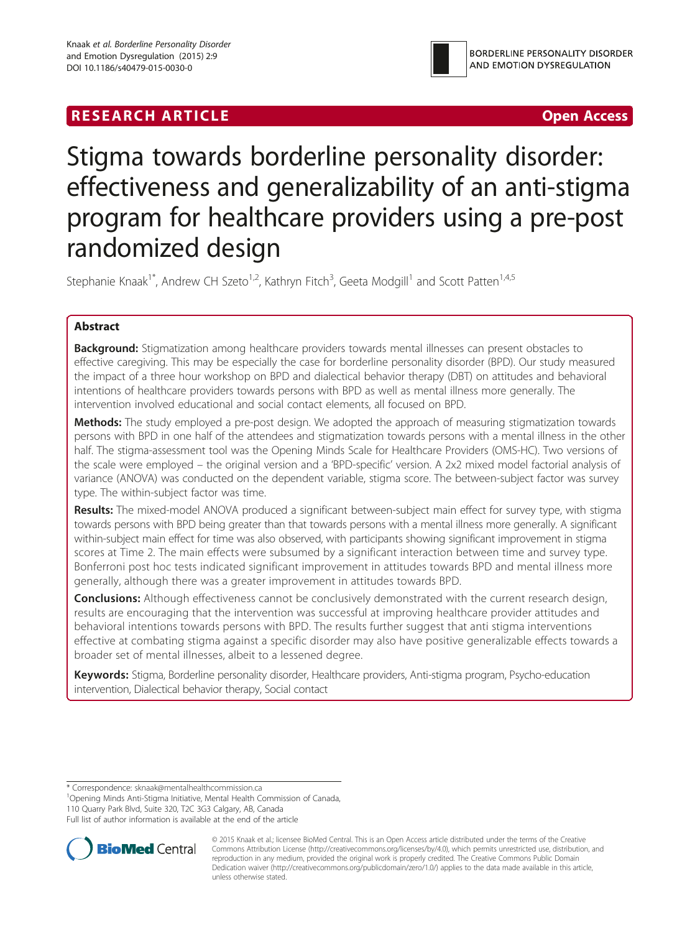# **RESEARCH ARTICLE EXECUTE: CONSIDERING ACCESS**



# Stigma towards borderline personality disorder: effectiveness and generalizability of an anti-stigma program for healthcare providers using a pre-post randomized design

Stephanie Knaak<sup>1\*</sup>, Andrew CH Szeto<sup>1,2</sup>, Kathryn Fitch<sup>3</sup>, Geeta Modgill<sup>1</sup> and Scott Patten<sup>1,4,5</sup>

# Abstract

**Background:** Stigmatization among healthcare providers towards mental illnesses can present obstacles to effective caregiving. This may be especially the case for borderline personality disorder (BPD). Our study measured the impact of a three hour workshop on BPD and dialectical behavior therapy (DBT) on attitudes and behavioral intentions of healthcare providers towards persons with BPD as well as mental illness more generally. The intervention involved educational and social contact elements, all focused on BPD.

Methods: The study employed a pre-post design. We adopted the approach of measuring stigmatization towards persons with BPD in one half of the attendees and stigmatization towards persons with a mental illness in the other half. The stigma-assessment tool was the Opening Minds Scale for Healthcare Providers (OMS-HC). Two versions of the scale were employed – the original version and a 'BPD-specific' version. A 2x2 mixed model factorial analysis of variance (ANOVA) was conducted on the dependent variable, stigma score. The between-subject factor was survey type. The within-subject factor was time.

Results: The mixed-model ANOVA produced a significant between-subject main effect for survey type, with stigma towards persons with BPD being greater than that towards persons with a mental illness more generally. A significant within-subject main effect for time was also observed, with participants showing significant improvement in stigma scores at Time 2. The main effects were subsumed by a significant interaction between time and survey type. Bonferroni post hoc tests indicated significant improvement in attitudes towards BPD and mental illness more generally, although there was a greater improvement in attitudes towards BPD.

**Conclusions:** Although effectiveness cannot be conclusively demonstrated with the current research design, results are encouraging that the intervention was successful at improving healthcare provider attitudes and behavioral intentions towards persons with BPD. The results further suggest that anti stigma interventions effective at combating stigma against a specific disorder may also have positive generalizable effects towards a broader set of mental illnesses, albeit to a lessened degree.

Keywords: Stigma, Borderline personality disorder, Healthcare providers, Anti-stigma program, Psycho-education intervention, Dialectical behavior therapy, Social contact

Full list of author information is available at the end of the article



© 2015 Knaak et al.; licensee BioMed Central. This is an Open Access article distributed under the terms of the Creative Commons Attribution License [\(http://creativecommons.org/licenses/by/4.0\)](http://creativecommons.org/licenses/by/4.0), which permits unrestricted use, distribution, and reproduction in any medium, provided the original work is properly credited. The Creative Commons Public Domain Dedication waiver [\(http://creativecommons.org/publicdomain/zero/1.0/](http://creativecommons.org/publicdomain/zero/1.0/)) applies to the data made available in this article, unless otherwise stated.

<sup>\*</sup> Correspondence: [sknaak@mentalhealthcommission.ca](mailto:sknaak@mentalhealthcommission.ca) <sup>1</sup>

<sup>&</sup>lt;sup>1</sup>Opening Minds Anti-Stigma Initiative, Mental Health Commission of Canada, 110 Quarry Park Blvd, Suite 320, T2C 3G3 Calgary, AB, Canada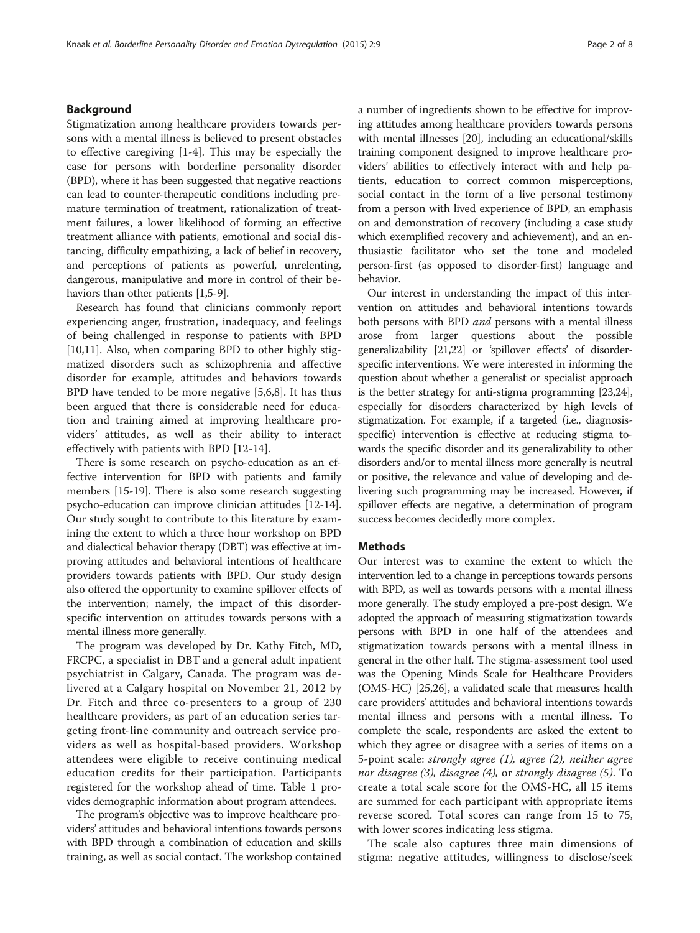## Background

Stigmatization among healthcare providers towards persons with a mental illness is believed to present obstacles to effective caregiving [\[1](#page-6-0)-[4\]](#page-6-0). This may be especially the case for persons with borderline personality disorder (BPD), where it has been suggested that negative reactions can lead to counter-therapeutic conditions including premature termination of treatment, rationalization of treatment failures, a lower likelihood of forming an effective treatment alliance with patients, emotional and social distancing, difficulty empathizing, a lack of belief in recovery, and perceptions of patients as powerful, unrelenting, dangerous, manipulative and more in control of their behaviors than other patients [[1,5](#page-6-0)-[9\]](#page-6-0).

Research has found that clinicians commonly report experiencing anger, frustration, inadequacy, and feelings of being challenged in response to patients with BPD [[10,11\]](#page-6-0). Also, when comparing BPD to other highly stigmatized disorders such as schizophrenia and affective disorder for example, attitudes and behaviors towards BPD have tended to be more negative [\[5,6,8](#page-6-0)]. It has thus been argued that there is considerable need for education and training aimed at improving healthcare providers' attitudes, as well as their ability to interact effectively with patients with BPD [[12](#page-6-0)[-14\]](#page-7-0).

There is some research on psycho-education as an effective intervention for BPD with patients and family members [\[15-19](#page-7-0)]. There is also some research suggesting psycho-education can improve clinician attitudes [[12](#page-6-0)-[14](#page-7-0)]. Our study sought to contribute to this literature by examining the extent to which a three hour workshop on BPD and dialectical behavior therapy (DBT) was effective at improving attitudes and behavioral intentions of healthcare providers towards patients with BPD. Our study design also offered the opportunity to examine spillover effects of the intervention; namely, the impact of this disorderspecific intervention on attitudes towards persons with a mental illness more generally.

The program was developed by Dr. Kathy Fitch, MD, FRCPC, a specialist in DBT and a general adult inpatient psychiatrist in Calgary, Canada. The program was delivered at a Calgary hospital on November 21, 2012 by Dr. Fitch and three co-presenters to a group of 230 healthcare providers, as part of an education series targeting front-line community and outreach service providers as well as hospital-based providers. Workshop attendees were eligible to receive continuing medical education credits for their participation. Participants registered for the workshop ahead of time. Table [1](#page-2-0) provides demographic information about program attendees.

The program's objective was to improve healthcare providers' attitudes and behavioral intentions towards persons with BPD through a combination of education and skills training, as well as social contact. The workshop contained a number of ingredients shown to be effective for improving attitudes among healthcare providers towards persons with mental illnesses [[20](#page-7-0)], including an educational/skills training component designed to improve healthcare providers' abilities to effectively interact with and help patients, education to correct common misperceptions, social contact in the form of a live personal testimony from a person with lived experience of BPD, an emphasis on and demonstration of recovery (including a case study which exemplified recovery and achievement), and an enthusiastic facilitator who set the tone and modeled person-first (as opposed to disorder-first) language and behavior.

Our interest in understanding the impact of this intervention on attitudes and behavioral intentions towards both persons with BPD *and* persons with a mental illness arose from larger questions about the possible generalizability [\[21,22](#page-7-0)] or 'spillover effects' of disorderspecific interventions. We were interested in informing the question about whether a generalist or specialist approach is the better strategy for anti-stigma programming [\[23,24](#page-7-0)], especially for disorders characterized by high levels of stigmatization. For example, if a targeted (i.e., diagnosisspecific) intervention is effective at reducing stigma towards the specific disorder and its generalizability to other disorders and/or to mental illness more generally is neutral or positive, the relevance and value of developing and delivering such programming may be increased. However, if spillover effects are negative, a determination of program success becomes decidedly more complex.

## **Methods**

Our interest was to examine the extent to which the intervention led to a change in perceptions towards persons with BPD, as well as towards persons with a mental illness more generally. The study employed a pre-post design. We adopted the approach of measuring stigmatization towards persons with BPD in one half of the attendees and stigmatization towards persons with a mental illness in general in the other half. The stigma-assessment tool used was the Opening Minds Scale for Healthcare Providers (OMS-HC) [[25,26\]](#page-7-0), a validated scale that measures health care providers' attitudes and behavioral intentions towards mental illness and persons with a mental illness. To complete the scale, respondents are asked the extent to which they agree or disagree with a series of items on a 5-point scale: strongly agree (1), agree (2), neither agree nor disagree (3), disagree (4), or strongly disagree (5). To create a total scale score for the OMS-HC, all 15 items are summed for each participant with appropriate items reverse scored. Total scores can range from 15 to 75, with lower scores indicating less stigma.

The scale also captures three main dimensions of stigma: negative attitudes, willingness to disclose/seek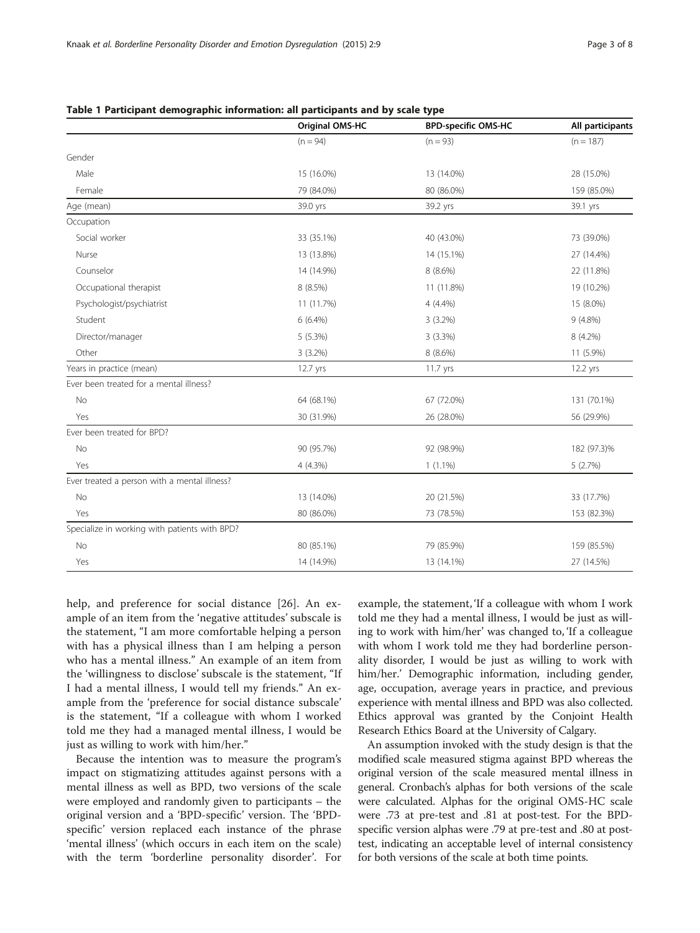|                                               | Original OMS-HC | <b>BPD-specific OMS-HC</b> | All participants |
|-----------------------------------------------|-----------------|----------------------------|------------------|
|                                               | $(n = 94)$      | $(n = 93)$                 | $(n = 187)$      |
| Gender                                        |                 |                            |                  |
| Male                                          | 15 (16.0%)      | 13 (14.0%)                 | 28 (15.0%)       |
| Female                                        | 79 (84.0%)      | 80 (86.0%)                 | 159 (85.0%)      |
| Age (mean)                                    | 39.0 yrs        | 39.2 yrs                   | 39.1 yrs         |
| Occupation                                    |                 |                            |                  |
| Social worker                                 | 33 (35.1%)      | 40 (43.0%)                 | 73 (39.0%)       |
| Nurse                                         | 13 (13.8%)      | 14 (15.1%)                 | 27 (14.4%)       |
| Counselor                                     | 14 (14.9%)      | 8 (8.6%)                   | 22 (11.8%)       |
| Occupational therapist                        | 8 (8.5%)        | 11 (11.8%)                 | 19 (10.2%)       |
| Psychologist/psychiatrist                     | 11 (11.7%)      | $4(4.4\%)$                 | 15 (8.0%)        |
| Student                                       | 6 (6.4%)        | $3(3.2\%)$                 | $9(4.8\%)$       |
| Director/manager                              | 5 (5.3%)        | 3(3.3%)                    | 8 (4.2%)         |
| Other                                         | $3(3.2\%)$      | 8 (8.6%)                   | 11 (5.9%)        |
| Years in practice (mean)                      | 12.7 yrs        | 11.7 yrs                   | 12.2 yrs         |
| Ever been treated for a mental illness?       |                 |                            |                  |
| No                                            | 64 (68.1%)      | 67 (72.0%)                 | 131 (70.1%)      |
| Yes                                           | 30 (31.9%)      | 26 (28.0%)                 | 56 (29.9%)       |
| Ever been treated for BPD?                    |                 |                            |                  |
| No                                            | 90 (95.7%)      | 92 (98.9%)                 | 182 (97.3)%      |
| Yes                                           | 4 (4.3%)        | $1(1.1\%)$                 | 5(2.7%)          |
| Ever treated a person with a mental illness?  |                 |                            |                  |
| No                                            | 13 (14.0%)      | 20 (21.5%)                 | 33 (17.7%)       |
| Yes                                           | 80 (86.0%)      | 73 (78.5%)                 | 153 (82.3%)      |
| Specialize in working with patients with BPD? |                 |                            |                  |
| No                                            | 80 (85.1%)      | 79 (85.9%)                 | 159 (85.5%)      |
| Yes                                           | 14 (14.9%)      | 13 (14.1%)                 | 27 (14.5%)       |

<span id="page-2-0"></span>Table 1 Participant demographic information: all participants and by scale type

help, and preference for social distance [\[26](#page-7-0)]. An example of an item from the 'negative attitudes' subscale is the statement, "I am more comfortable helping a person with has a physical illness than I am helping a person who has a mental illness." An example of an item from the 'willingness to disclose' subscale is the statement, "If I had a mental illness, I would tell my friends." An example from the 'preference for social distance subscale' is the statement, "If a colleague with whom I worked told me they had a managed mental illness, I would be just as willing to work with him/her."

Because the intention was to measure the program's impact on stigmatizing attitudes against persons with a mental illness as well as BPD, two versions of the scale were employed and randomly given to participants – the original version and a 'BPD-specific' version. The 'BPDspecific' version replaced each instance of the phrase 'mental illness' (which occurs in each item on the scale) with the term 'borderline personality disorder'. For

example, the statement, 'If a colleague with whom I work told me they had a mental illness, I would be just as willing to work with him/her' was changed to, 'If a colleague with whom I work told me they had borderline personality disorder, I would be just as willing to work with him/her.' Demographic information, including gender, age, occupation, average years in practice, and previous experience with mental illness and BPD was also collected. Ethics approval was granted by the Conjoint Health Research Ethics Board at the University of Calgary.

An assumption invoked with the study design is that the modified scale measured stigma against BPD whereas the original version of the scale measured mental illness in general. Cronbach's alphas for both versions of the scale were calculated. Alphas for the original OMS-HC scale were .73 at pre-test and .81 at post-test. For the BPDspecific version alphas were .79 at pre-test and .80 at posttest, indicating an acceptable level of internal consistency for both versions of the scale at both time points.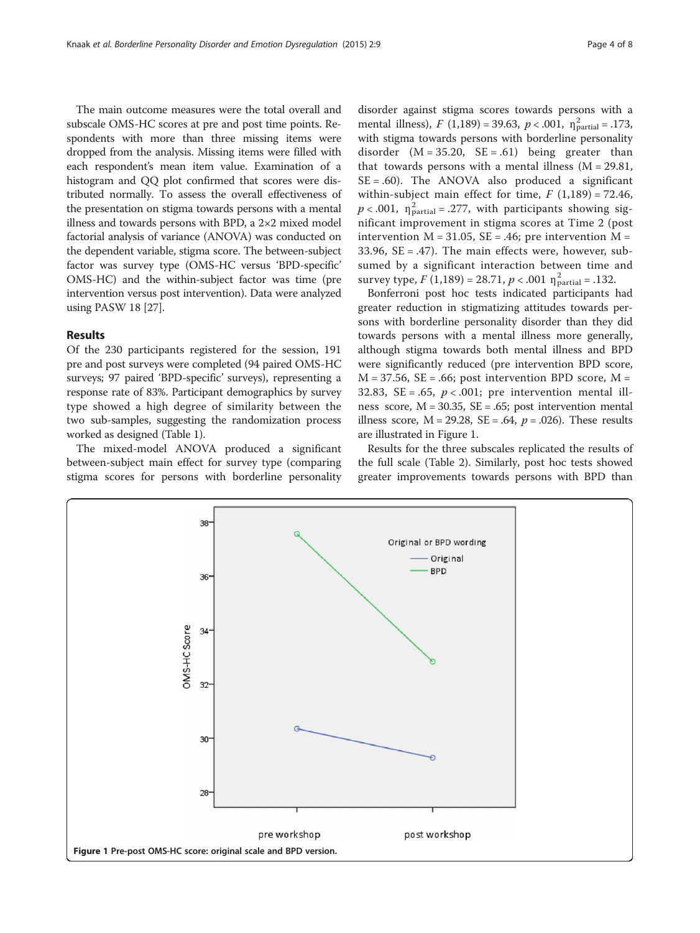The main outcome measures were the total overall and subscale OMS-HC scores at pre and post time points. Respondents with more than three missing items were dropped from the analysis. Missing items were filled with each respondent's mean item value. Examination of a histogram and QQ plot confirmed that scores were distributed normally. To assess the overall effectiveness of the presentation on stigma towards persons with a mental illness and towards persons with BPD, a 2×2 mixed model factorial analysis of variance (ANOVA) was conducted on the dependent variable, stigma score. The between-subject factor was survey type (OMS-HC versus 'BPD-specific' OMS-HC) and the within-subject factor was time (pre intervention versus post intervention). Data were analyzed using PASW 18 [\[27\]](#page-7-0).

# Results

Of the 230 participants registered for the session, 191 pre and post surveys were completed (94 paired OMS-HC surveys; 97 paired 'BPD-specific' surveys), representing a response rate of 83%. Participant demographics by survey type showed a high degree of similarity between the two sub-samples, suggesting the randomization process worked as designed (Table [1\)](#page-2-0).

The mixed-model ANOVA produced a significant between-subject main effect for survey type (comparing stigma scores for persons with borderline personality

disorder against stigma scores towards persons with a mental illness),  $F(1,189) = 39.63$ ,  $p < .001$ ,  $\eta_{\text{partial}}^2 = .173$ , with stigma towards persons with borderline personality disorder  $(M = 35.20, SE = .61)$  being greater than that towards persons with a mental illness  $(M = 29.81,$ SE = .60). The ANOVA also produced a significant within-subject main effect for time,  $F(1,189) = 72.46$ ,  $p < .001$ ,  $\eta_{\text{partial}}^2 = .277$ , with participants showing significant improvement in stigma scores at Time 2 (post intervention  $M = 31.05$ ,  $SE = .46$ ; pre intervention  $M =$ 33.96,  $SE = .47$ ). The main effects were, however, subsumed by a significant interaction between time and survey type,  $F(1,189) = 28.71$ ,  $p < .001$   $\eta_{\text{partial}}^2 = .132$ .

Bonferroni post hoc tests indicated participants had greater reduction in stigmatizing attitudes towards persons with borderline personality disorder than they did towards persons with a mental illness more generally, although stigma towards both mental illness and BPD were significantly reduced (pre intervention BPD score,  $M = 37.56$ ,  $SE = .66$ ; post intervention BPD score,  $M =$ 32.83, SE = .65,  $p < .001$ ; pre intervention mental illness score, M = 30.35, SE = .65; post intervention mental illness score,  $M = 29.28$ ,  $SE = .64$ ,  $p = .026$ ). These results are illustrated in Figure 1.

Results for the three subscales replicated the results of the full scale (Table [2](#page-4-0)). Similarly, post hoc tests showed greater improvements towards persons with BPD than

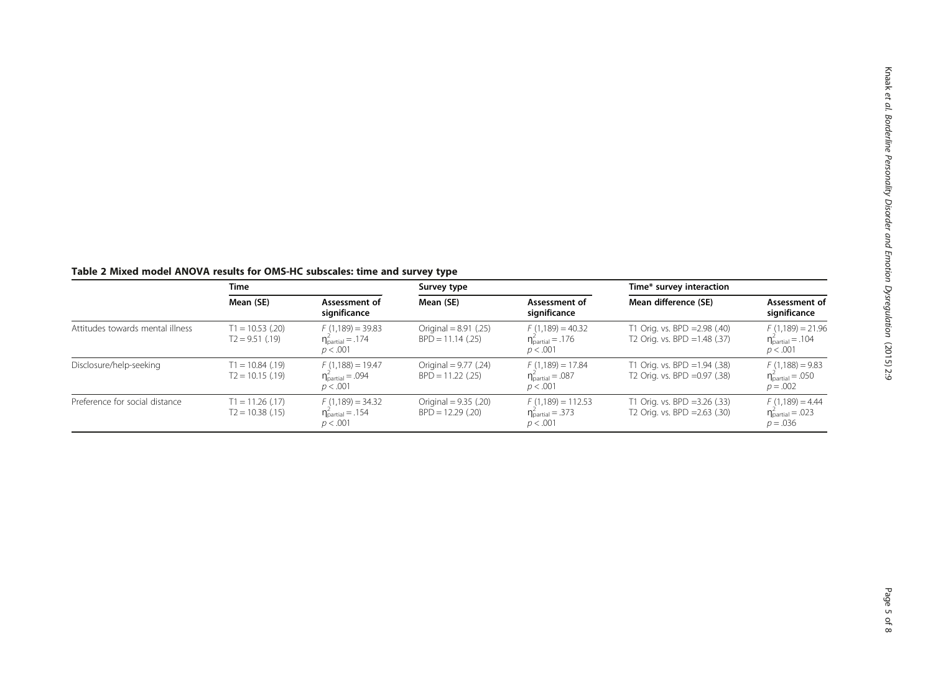<span id="page-4-0"></span>Table 2 Mixed model ANOVA results for OMS-HC subscales: time and survey type

|                                  | Time                                     |                                                                    | Survey type                                    |                                                                     | Time* survey interaction                                           |                                                                      |
|----------------------------------|------------------------------------------|--------------------------------------------------------------------|------------------------------------------------|---------------------------------------------------------------------|--------------------------------------------------------------------|----------------------------------------------------------------------|
|                                  | Mean (SE)                                | Assessment of<br>significance                                      | Mean (SE)                                      | Assessment of<br>significance                                       | Mean difference (SE)                                               | Assessment of<br>significance                                        |
| Attitudes towards mental illness | $T1 = 10.53$ (.20)<br>$T2 = 9.51$ (.19)  | $F(1,189) = 39.83$<br>$\eta_{\text{partial}}^2 = .174$<br>p < .001 | Original = $8.91$ (.25)<br>$BPD = 11.14(.25)$  | $F(1,189) = 40.32$<br>$\eta_{\text{partial}}^2 = .176$<br>p < .001  | T1 Orig. vs. $BPD = 2.98$ (.40)<br>T2 Orig. vs. $BPD = 1.48$ (.37) | $F(1,189) = 21.96$<br>$\eta_{\text{partial}}^2 = .104$<br>p < .001   |
| Disclosure/help-seeking          | $T1 = 10.84$ (.19)<br>$T2 = 10.15$ (.19) | $F(1,188) = 19.47$<br>$\eta^2_{\text{partial}} = .094$<br>p < .001 | Original = $9.77$ (.24)<br>$BPD = 11.22$ (.25) | $F(1,189) = 17.84$<br>$\eta_{\text{partial}}^2 = .087$<br>p < .001  | T1 Orig. vs. $BPD = 1.94$ (.38)<br>T2 Orig. vs. BPD =0.97 (.38)    | $F(1,188) = 9.83$<br>$\eta^2_{\text{partial}} = .050$<br>$p = .002$  |
| Preference for social distance   | $T1 = 11.26$ (.17)<br>$T2 = 10.38$ (.15) | $F(1.189) = 34.32$<br>$\eta_{\text{partial}}^2 = .154$<br>p < .001 | Original = $9.35$ (.20)<br>$BPD = 12.29$ (.20) | $F(1,189) = 112.53$<br>$\eta_{\text{partial}}^2 = .373$<br>p < .001 | T1 Orig. vs. $BPD = 3.26$ (.33)<br>T2 Orig. vs. $BPD = 2.63$ (.30) | $F(1.189) = 4.44$<br>$\eta_{\text{partial}}^2 = .023$<br>$p = 0.036$ |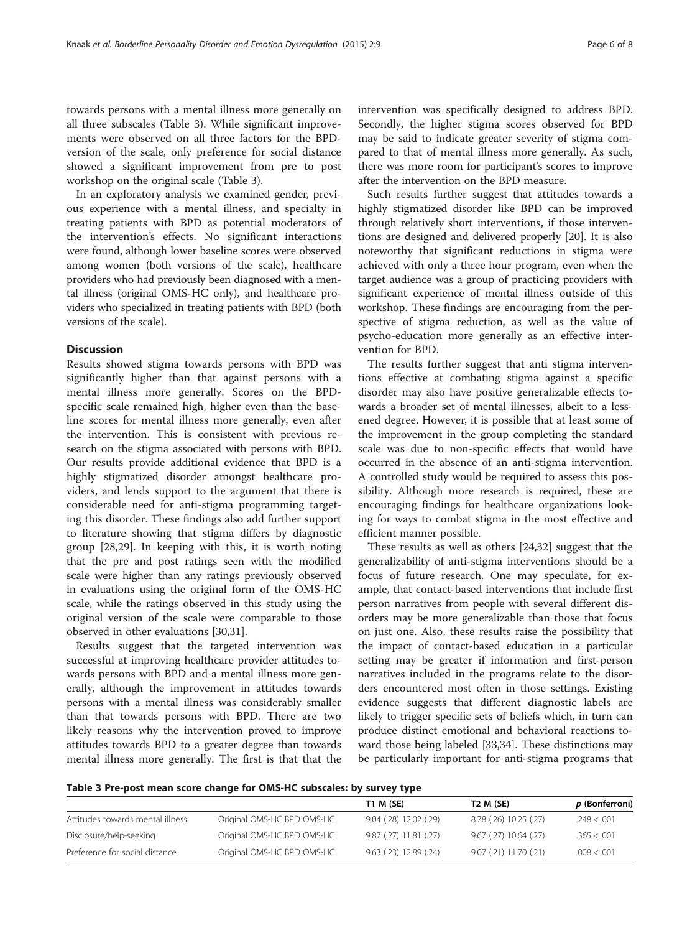towards persons with a mental illness more generally on all three subscales (Table 3). While significant improvements were observed on all three factors for the BPDversion of the scale, only preference for social distance showed a significant improvement from pre to post workshop on the original scale (Table 3).

In an exploratory analysis we examined gender, previous experience with a mental illness, and specialty in treating patients with BPD as potential moderators of the intervention's effects. No significant interactions were found, although lower baseline scores were observed among women (both versions of the scale), healthcare providers who had previously been diagnosed with a mental illness (original OMS-HC only), and healthcare providers who specialized in treating patients with BPD (both versions of the scale).

# **Discussion**

Results showed stigma towards persons with BPD was significantly higher than that against persons with a mental illness more generally. Scores on the BPDspecific scale remained high, higher even than the baseline scores for mental illness more generally, even after the intervention. This is consistent with previous research on the stigma associated with persons with BPD. Our results provide additional evidence that BPD is a highly stigmatized disorder amongst healthcare providers, and lends support to the argument that there is considerable need for anti-stigma programming targeting this disorder. These findings also add further support to literature showing that stigma differs by diagnostic group [\[28,29](#page-7-0)]. In keeping with this, it is worth noting that the pre and post ratings seen with the modified scale were higher than any ratings previously observed in evaluations using the original form of the OMS-HC scale, while the ratings observed in this study using the original version of the scale were comparable to those observed in other evaluations [[30,31](#page-7-0)].

Results suggest that the targeted intervention was successful at improving healthcare provider attitudes towards persons with BPD and a mental illness more generally, although the improvement in attitudes towards persons with a mental illness was considerably smaller than that towards persons with BPD. There are two likely reasons why the intervention proved to improve attitudes towards BPD to a greater degree than towards mental illness more generally. The first is that that the intervention was specifically designed to address BPD. Secondly, the higher stigma scores observed for BPD may be said to indicate greater severity of stigma compared to that of mental illness more generally. As such, there was more room for participant's scores to improve after the intervention on the BPD measure.

Such results further suggest that attitudes towards a highly stigmatized disorder like BPD can be improved through relatively short interventions, if those interventions are designed and delivered properly [[20\]](#page-7-0). It is also noteworthy that significant reductions in stigma were achieved with only a three hour program, even when the target audience was a group of practicing providers with significant experience of mental illness outside of this workshop. These findings are encouraging from the perspective of stigma reduction, as well as the value of psycho-education more generally as an effective intervention for BPD.

The results further suggest that anti stigma interventions effective at combating stigma against a specific disorder may also have positive generalizable effects towards a broader set of mental illnesses, albeit to a lessened degree. However, it is possible that at least some of the improvement in the group completing the standard scale was due to non-specific effects that would have occurred in the absence of an anti-stigma intervention. A controlled study would be required to assess this possibility. Although more research is required, these are encouraging findings for healthcare organizations looking for ways to combat stigma in the most effective and efficient manner possible.

These results as well as others [\[24,32\]](#page-7-0) suggest that the generalizability of anti-stigma interventions should be a focus of future research. One may speculate, for example, that contact-based interventions that include first person narratives from people with several different disorders may be more generalizable than those that focus on just one. Also, these results raise the possibility that the impact of contact-based education in a particular setting may be greater if information and first-person narratives included in the programs relate to the disorders encountered most often in those settings. Existing evidence suggests that different diagnostic labels are likely to trigger specific sets of beliefs which, in turn can produce distinct emotional and behavioral reactions toward those being labeled [\[33,34](#page-7-0)]. These distinctions may be particularly important for anti-stigma programs that

| Table 3 Pre-post mean score change for OMS-HC subscales: by survey type |  |  |  |
|-------------------------------------------------------------------------|--|--|--|
|-------------------------------------------------------------------------|--|--|--|

|                                  |                            | <b>T1 M (SE)</b>         | <b>T2 M (SE)</b>         | p (Bonferroni) |
|----------------------------------|----------------------------|--------------------------|--------------------------|----------------|
| Attitudes towards mental illness | Original OMS-HC BPD OMS-HC | 9.04 (.28) 12.02 (.29)   | 8.78 (.26) 10.25 (.27)   | .248 < .001    |
| Disclosure/help-seeking          | Original OMS-HC BPD OMS-HC | $9.87$ (.27) 11.81 (.27) | $9.67$ (.27) 10.64 (.27) | .365 < .001    |
| Preference for social distance   | Original OMS-HC BPD OMS-HC | 9.63 (.23) 12.89 (.24)   | $9.07$ (.21) 11.70 (.21) | .008 < .001    |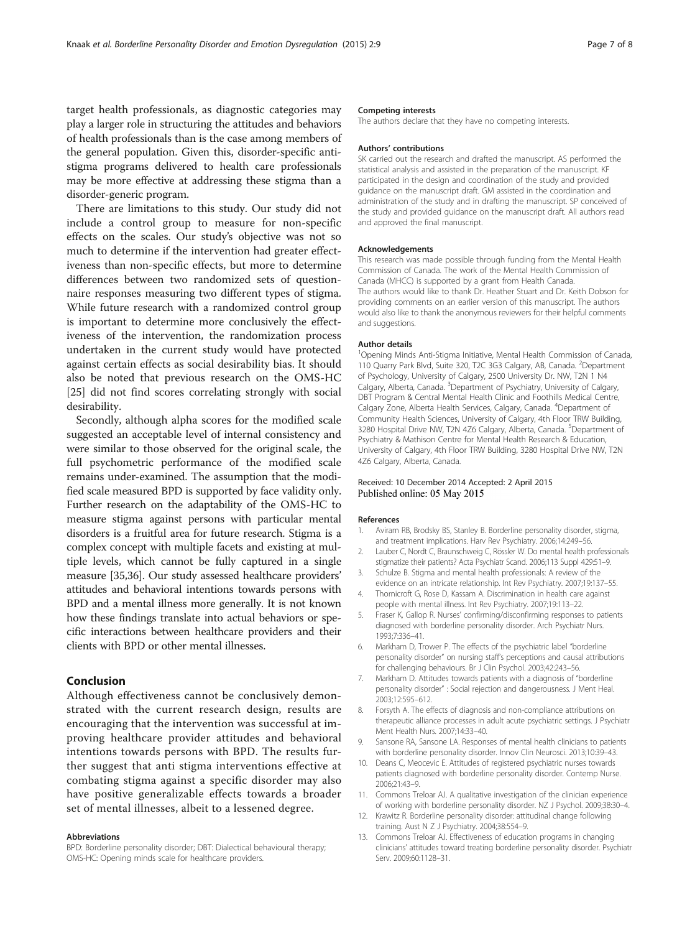<span id="page-6-0"></span>target health professionals, as diagnostic categories may play a larger role in structuring the attitudes and behaviors of health professionals than is the case among members of the general population. Given this, disorder-specific antistigma programs delivered to health care professionals may be more effective at addressing these stigma than a disorder-generic program.

There are limitations to this study. Our study did not include a control group to measure for non-specific effects on the scales. Our study's objective was not so much to determine if the intervention had greater effectiveness than non-specific effects, but more to determine differences between two randomized sets of questionnaire responses measuring two different types of stigma. While future research with a randomized control group is important to determine more conclusively the effectiveness of the intervention, the randomization process undertaken in the current study would have protected against certain effects as social desirability bias. It should also be noted that previous research on the OMS-HC [[25\]](#page-7-0) did not find scores correlating strongly with social desirability.

Secondly, although alpha scores for the modified scale suggested an acceptable level of internal consistency and were similar to those observed for the original scale, the full psychometric performance of the modified scale remains under-examined. The assumption that the modified scale measured BPD is supported by face validity only. Further research on the adaptability of the OMS-HC to measure stigma against persons with particular mental disorders is a fruitful area for future research. Stigma is a complex concept with multiple facets and existing at multiple levels, which cannot be fully captured in a single measure [[35,36\]](#page-7-0). Our study assessed healthcare providers' attitudes and behavioral intentions towards persons with BPD and a mental illness more generally. It is not known how these findings translate into actual behaviors or specific interactions between healthcare providers and their clients with BPD or other mental illnesses.

# Conclusion

Although effectiveness cannot be conclusively demonstrated with the current research design, results are encouraging that the intervention was successful at improving healthcare provider attitudes and behavioral intentions towards persons with BPD. The results further suggest that anti stigma interventions effective at combating stigma against a specific disorder may also have positive generalizable effects towards a broader set of mental illnesses, albeit to a lessened degree.

#### Abbreviations

BPD: Borderline personality disorder; DBT: Dialectical behavioural therapy; OMS-HC: Opening minds scale for healthcare providers.

#### Competing interests

The authors declare that they have no competing interests.

#### Authors' contributions

SK carried out the research and drafted the manuscript. AS performed the statistical analysis and assisted in the preparation of the manuscript. KF participated in the design and coordination of the study and provided guidance on the manuscript draft. GM assisted in the coordination and administration of the study and in drafting the manuscript. SP conceived of the study and provided guidance on the manuscript draft. All authors read and approved the final manuscript.

#### Acknowledgements

This research was made possible through funding from the Mental Health Commission of Canada. The work of the Mental Health Commission of Canada (MHCC) is supported by a grant from Health Canada. The authors would like to thank Dr. Heather Stuart and Dr. Keith Dobson for providing comments on an earlier version of this manuscript. The authors would also like to thank the anonymous reviewers for their helpful comments and suggestions.

#### Author details

<sup>1</sup>Opening Minds Anti-Stigma Initiative, Mental Health Commission of Canada, 110 Quarry Park Blvd, Suite 320, T2C 3G3 Calgary, AB, Canada. <sup>2</sup> Department of Psychology, University of Calgary, 2500 University Dr. NW, T2N 1 N4 Calgary, Alberta, Canada. <sup>3</sup>Department of Psychiatry, University of Calgary, DBT Program & Central Mental Health Clinic and Foothills Medical Centre, Calgary Zone, Alberta Health Services, Calgary, Canada. <sup>4</sup>Department of Community Health Sciences, University of Calgary, 4th Floor TRW Building, 3280 Hospital Drive NW, T2N 4Z6 Calgary, Alberta, Canada. <sup>5</sup>Department of Psychiatry & Mathison Centre for Mental Health Research & Education, University of Calgary, 4th Floor TRW Building, 3280 Hospital Drive NW, T2N 4Z6 Calgary, Alberta, Canada.

### Received: 10 December 2014 Accepted: 2 April 2015 Published online: 05 May 2015

#### References

- 1. Aviram RB, Brodsky BS, Stanley B. Borderline personality disorder, stigma, and treatment implications. Harv Rev Psychiatry. 2006;14:249–56.
- 2. Lauber C, Nordt C, Braunschweig C, Rössler W. Do mental health professionals stigmatize their patients? Acta Psychiatr Scand. 2006;113 Suppl 429:51–9.
- 3. Schulze B. Stigma and mental health professionals: A review of the evidence on an intricate relationship. Int Rev Psychiatry. 2007;19:137–55.
- 4. Thornicroft G, Rose D, Kassam A. Discrimination in health care against people with mental illness. Int Rev Psychiatry. 2007;19:113–22.
- 5. Fraser K, Gallop R. Nurses' confirming/disconfirming responses to patients diagnosed with borderline personality disorder. Arch Psychiatr Nurs. 1993;7:336–41.
- 6. Markham D, Trower P. The effects of the psychiatric label "borderline personality disorder" on nursing staff's perceptions and causal attributions for challenging behaviours. Br J Clin Psychol. 2003;42:243–56.
- 7. Markham D. Attitudes towards patients with a diagnosis of "borderline personality disorder" : Social rejection and dangerousness. J Ment Heal. 2003;12:595–612.
- 8. Forsyth A. The effects of diagnosis and non-compliance attributions on therapeutic alliance processes in adult acute psychiatric settings. J Psychiatr Ment Health Nurs. 2007;14:33–40.
- 9. Sansone RA, Sansone LA. Responses of mental health clinicians to patients with borderline personality disorder. Innov Clin Neurosci. 2013;10:39–43.
- 10. Deans C, Meocevic E. Attitudes of registered psychiatric nurses towards patients diagnosed with borderline personality disorder. Contemp Nurse. 2006;21:43–9.
- 11. Commons Treloar AJ. A qualitative investigation of the clinician experience of working with borderline personality disorder. NZ J Psychol. 2009;38:30–4.
- 12. Krawitz R. Borderline personality disorder: attitudinal change following training. Aust N Z J Psychiatry. 2004;38:554–9.
- 13. Commons Treloar AJ. Effectiveness of education programs in changing clinicians' attitudes toward treating borderline personality disorder. Psychiatr Serv. 2009;60:1128–31.